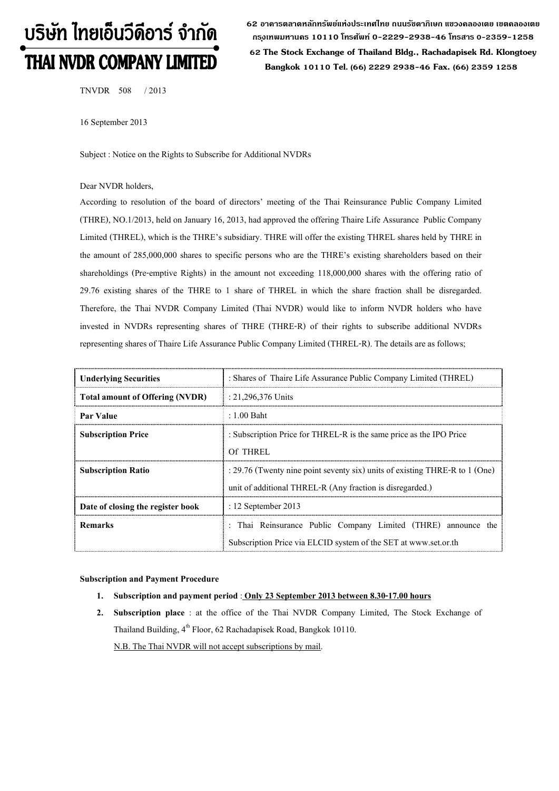# บริษัท ไทยเอ็นวีดีอาร์ จำกัด THAI NVDR COMPANY LIMITED

**62 อาคารตลาดหลักทรัพย์แห่งประเทศไทย ถนนรัชดาภิเษก แขวงคลองเตย เขตคลองเตย กร ุงเทพมหานคร 10110 โทรศัพท์ 0-2229-2938-46 โทรสาร 0-2359-1258 62 The Stock Exchange of Thailand Bldg., Rachadapisek Rd. Klongtoey Bangkok 10110 Tel. (66) 2229 2938-46 Fax. (66) 2359 1258**

TNVDR 508 / 2013

16 September 2013

Subject : Notice on the Rights to Subscribe for Additional NVDRs

## Dear NVDR holders,

According to resolution of the board of directors' meeting of the Thai Reinsurance Public Company Limited (THRE), NO.1/2013, held on January 16, 2013, had approved the offering Thaire Life Assurance Public Company Limited (THREL), which is the THRE's subsidiary. THRE will offer the existing THREL shares held by THRE in the amount of 285,000,000 shares to specific persons who are the THRE's existing shareholders based on their shareholdings (Pre-emptive Rights) in the amount not exceeding 118,000,000 shares with the offering ratio of 29.76 existing shares of the THRE to 1 share of THREL in which the share fraction shall be disregarded. Therefore, the Thai NVDR Company Limited (Thai NVDR) would like to inform NVDR holders who have invested in NVDRs representing shares of THRE (THRE-R) of their rights to subscribe additional NVDRs representing shares of Thaire Life Assurance Public Company Limited (THREL-R). The details are as follows;

| <b>Underlying Securities</b>           | : Shares of Thaire Life Assurance Public Company Limited (THREL)            |  |  |  |  |
|----------------------------------------|-----------------------------------------------------------------------------|--|--|--|--|
| <b>Total amount of Offering (NVDR)</b> | : 21,296,376 Units                                                          |  |  |  |  |
| Par Value                              | : 1.00 Baht                                                                 |  |  |  |  |
| <b>Subscription Price</b>              | : Subscription Price for THREL-R is the same price as the IPO Price         |  |  |  |  |
|                                        | Of THREL                                                                    |  |  |  |  |
| <b>Subscription Ratio</b>              | : 29.76 (Twenty nine point seventy six) units of existing THRE-R to 1 (One) |  |  |  |  |
|                                        | unit of additional THREL-R (Any fraction is disregarded.)                   |  |  |  |  |
| Date of closing the register book      | $: 12$ September 2013                                                       |  |  |  |  |
| <b>Remarks</b>                         | : Thai Reinsurance Public Company Limited (THRE) announce<br>the.           |  |  |  |  |
|                                        | Subscription Price via ELCID system of the SET at www.set.or.th             |  |  |  |  |

## **Subscription and Payment Procedure**

- **1. Subscription and payment period** : **Only 23 September 2013 between 8.30-17.00 hours**
- **2. Subscription place** : at the office of the Thai NVDR Company Limited, The Stock Exchange of Thailand Building, 4<sup>th</sup> Floor, 62 Rachadapisek Road, Bangkok 10110. N.B. The Thai NVDR will not accept subscriptions by mail.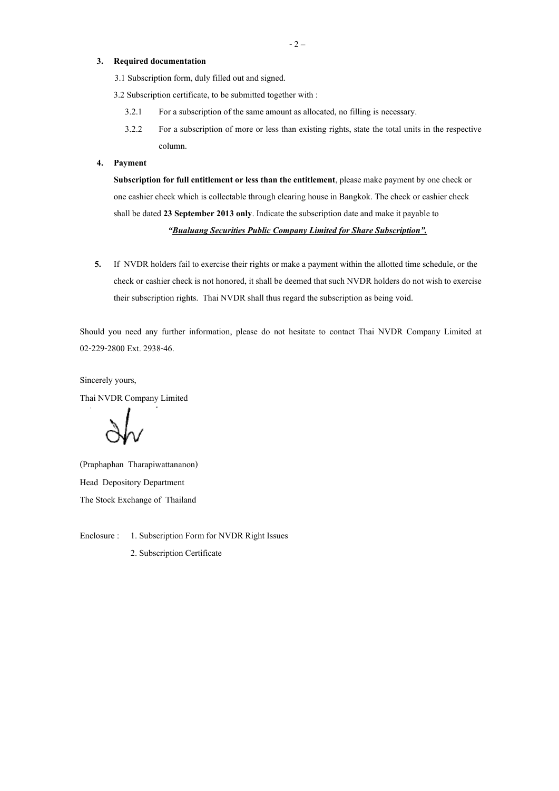## **3. Required documentation**

3.1 Subscription form, duly filled out and signed.

3.2 Subscription certificate, to be submitted together with :

- 3.2.1 For a subscription of the same amount as allocated, no filling is necessary.
- 3.2.2 For a subscription of more or less than existing rights, state the total units in the respective column.

## **4. Payment**

**Subscription for full entitlement or less than the entitlement**, please make payment by one check or one cashier check which is collectable through clearing house in Bangkok. The check or cashier check shall be dated **23 September 2013 only**. Indicate the subscription date and make it payable to *"Bualuang Securities Public Company Limited for Share Subscription".*

**5.** If NVDR holders fail to exercise their rights or make a payment within the allotted time schedule, or the check or cashier check is not honored, it shall be deemed that such NVDR holders do not wish to exercise their subscription rights. Thai NVDR shall thus regard the subscription as being void.

Should you need any further information, please do not hesitate to contact Thai NVDR Company Limited at 02-229-2800 Ext. 2938-46.

Sincerely yours,

Thai NVDR Company Limited

(Praphaphan Tharapiwattananon) Head Depository Department The Stock Exchange of Thailand

Enclosure : 1. Subscription Form for NVDR Right Issues

2. Subscription Certificate